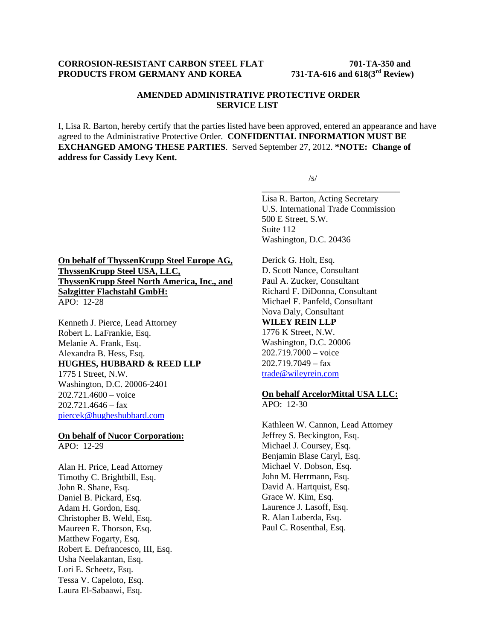## **CORROSION-RESISTANT CARBON STEEL FLAT 701-TA-350 and PRODUCTS FROM GERMANY AND KOREA 731-TA-616 and 618(3rd Review)**

## **AMENDED ADMINISTRATIVE PROTECTIVE ORDER SERVICE LIST**

I, Lisa R. Barton, hereby certify that the parties listed have been approved, entered an appearance and have agreed to the Administrative Protective Order. **CONFIDENTIAL INFORMATION MUST BE EXCHANGED AMONG THESE PARTIES**. Served September 27, 2012. **\*NOTE: Change of address for Cassidy Levy Kent.** 

 $\overline{\phantom{a}}$  , and the contract of the contract of the contract of the contract of the contract of the contract of the contract of the contract of the contract of the contract of the contract of the contract of the contrac

 $\sqrt{s}$ /s/

Lisa R. Barton, Acting Secretary U.S. International Trade Commission 500 E Street, S.W. Suite 112 Washington, D.C. 20436

**On behalf of ThyssenKrupp Steel Europe AG, ThyssenKrupp Steel USA, LLC, ThyssenKrupp Steel North America, Inc., and Salzgitter Flachstahl GmbH:**  APO: 12-28

Kenneth J. Pierce, Lead Attorney Robert L. LaFrankie, Esq. Melanie A. Frank, Esq. Alexandra B. Hess, Esq. **HUGHES, HUBBARD & REED LLP** 1775 I Street, N.W. Washington, D.C. 20006-2401  $202.721.4600 - \text{voice}$ 202.721.4646 – fax piercek@hugheshubbard.com

# **On behalf of Nucor Corporation:**

APO: 12-29

Alan H. Price, Lead Attorney Timothy C. Brightbill, Esq. John R. Shane, Esq. Daniel B. Pickard, Esq. Adam H. Gordon, Esq. Christopher B. Weld, Esq. Maureen E. Thorson, Esq. Matthew Fogarty, Esq. Robert E. Defrancesco, III, Esq. Usha Neelakantan, Esq. Lori E. Scheetz, Esq. Tessa V. Capeloto, Esq. Laura El-Sabaawi, Esq.

Derick G. Holt, Esq. D. Scott Nance, Consultant Paul A. Zucker, Consultant Richard F. DiDonna, Consultant Michael F. Panfeld, Consultant Nova Daly, Consultant **WILEY REIN LLP** 1776 K Street, N.W. Washington, D.C. 20006 202.719.7000 – voice 202.719.7049 – fax trade@wileyrein.com

# **On behalf ArcelorMittal USA LLC:**

APO: 12-30

Kathleen W. Cannon, Lead Attorney Jeffrey S. Beckington, Esq. Michael J. Coursey, Esq. Benjamin Blase Caryl, Esq. Michael V. Dobson, Esq. John M. Herrmann, Esq. David A. Hartquist, Esq. Grace W. Kim, Esq. Laurence J. Lasoff, Esq. R. Alan Luberda, Esq. Paul C. Rosenthal, Esq.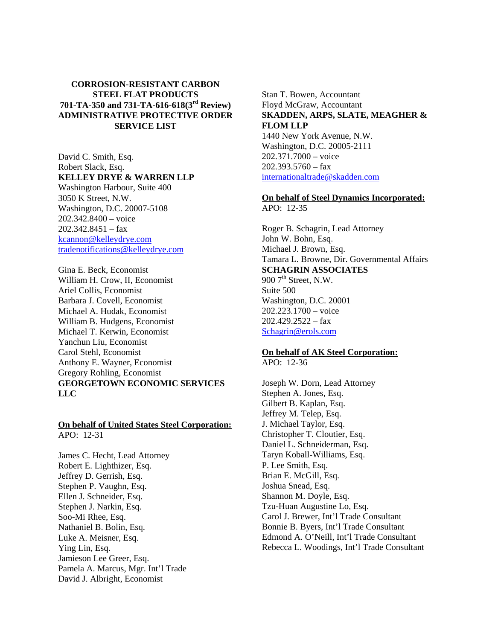# **CORROSION-RESISTANT CARBON STEEL FLAT PRODUCTS 701-TA-350 and 731-TA-616-618(3rd Review) ADMINISTRATIVE PROTECTIVE ORDER SERVICE LIST**

David C. Smith, Esq. Robert Slack, Esq. **KELLEY DRYE & WARREN LLP**  Washington Harbour, Suite 400 3050 K Street, N.W. Washington, D.C. 20007-5108 202.342.8400 – voice

202.342.8451 – fax kcannon@kelleydrye.com tradenotifications@kelleydrye.com

Gina E. Beck, Economist William H. Crow, II, Economist Ariel Collis, Economist Barbara J. Covell, Economist Michael A. Hudak, Economist William B. Hudgens, Economist Michael T. Kerwin, Economist Yanchun Liu, Economist Carol Stehl, Economist Anthony E. Wayner, Economist Gregory Rohling, Economist **GEORGETOWN ECONOMIC SERVICES LLC** 

#### **On behalf of United States Steel Corporation:**  APO: 12-31

James C. Hecht, Lead Attorney Robert E. Lighthizer, Esq. Jeffrey D. Gerrish, Esq. Stephen P. Vaughn, Esq. Ellen J. Schneider, Esq. Stephen J. Narkin, Esq. Soo-Mi Rhee, Esq. Nathaniel B. Bolin, Esq. Luke A. Meisner, Esq. Ying Lin, Esq. Jamieson Lee Greer, Esq. Pamela A. Marcus, Mgr. Int'l Trade David J. Albright, Economist

Stan T. Bowen, Accountant Floyd McGraw, Accountant **SKADDEN, ARPS, SLATE, MEAGHER & FLOM LLP** 1440 New York Avenue, N.W. Washington, D.C. 20005-2111 202.371.7000 – voice  $202.393.5760 - fax$ internationaltrade@skadden.com

# **On behalf of Steel Dynamics Incorporated:**

APO: 12-35

Roger B. Schagrin, Lead Attorney John W. Bohn, Esq. Michael J. Brown, Esq. Tamara L. Browne, Dir. Governmental Affairs **SCHAGRIN ASSOCIATES** 900  $7<sup>th</sup>$  Street, N.W. Suite 500 Washington, D.C. 20001 202.223.1700 – voice  $202.429.2522 - fax$ Schagrin@erols.com

## **On behalf of AK Steel Corporation:**

APO: 12-36

Joseph W. Dorn, Lead Attorney Stephen A. Jones, Esq. Gilbert B. Kaplan, Esq. Jeffrey M. Telep, Esq. J. Michael Taylor, Esq. Christopher T. Cloutier, Esq. Daniel L. Schneiderman, Esq. Taryn Koball-Williams, Esq. P. Lee Smith, Esq. Brian E. McGill, Esq. Joshua Snead, Esq. Shannon M. Doyle, Esq. Tzu-Huan Augustine Lo, Esq. Carol J. Brewer, Int'l Trade Consultant Bonnie B. Byers, Int'l Trade Consultant Edmond A. O'Neill, Int'l Trade Consultant Rebecca L. Woodings, Int'l Trade Consultant